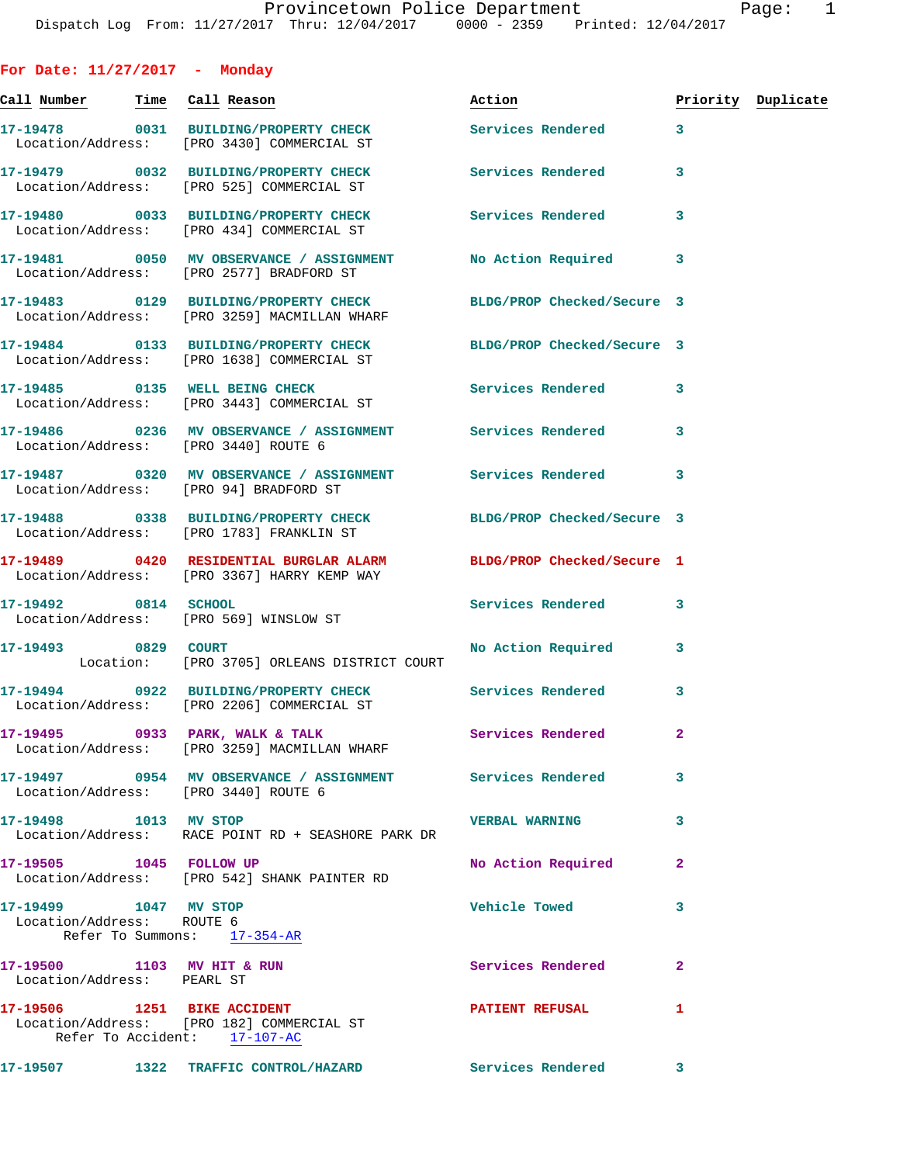**For Date: 11/27/2017 - Monday** Call Number Time Call Reason **Reason Action Action** Priority Duplicate **17-19478 0031 BUILDING/PROPERTY CHECK Services Rendered 3**  Location/Address: [PRO 3430] COMMERCIAL ST **17-19479 0032 BUILDING/PROPERTY CHECK Services Rendered 3**  Location/Address: [PRO 525] COMMERCIAL ST **17-19480 0033 BUILDING/PROPERTY CHECK Services Rendered 3**  Location/Address: [PRO 434] COMMERCIAL ST **17-19481 0050 MV OBSERVANCE / ASSIGNMENT No Action Required 3**  Location/Address: [PRO 2577] BRADFORD ST **17-19483 0129 BUILDING/PROPERTY CHECK BLDG/PROP Checked/Secure 3**  Location/Address: [PRO 3259] MACMILLAN WHARF **17-19484 0133 BUILDING/PROPERTY CHECK BLDG/PROP Checked/Secure 3**  Location/Address: [PRO 1638] COMMERCIAL ST 17-19485 **0135** WELL BEING CHECK **CHECK** Services Rendered 3 Location/Address: [PRO 3443] COMMERCIAL ST **17-19486 0236 MV OBSERVANCE / ASSIGNMENT Services Rendered 3**  Location/Address: [PRO 3440] ROUTE 6 **17-19487 0320 MV OBSERVANCE / ASSIGNMENT Services Rendered 3**  Location/Address: [PRO 94] BRADFORD ST **17-19488 0338 BUILDING/PROPERTY CHECK BLDG/PROP Checked/Secure 3**  Location/Address: [PRO 1783] FRANKLIN ST **17-19489 0420 RESIDENTIAL BURGLAR ALARM BLDG/PROP Checked/Secure 1**  Location/Address: [PRO 3367] HARRY KEMP WAY **17-19492 0814 SCHOOL Services Rendered 3**  Location/Address: [PRO 569] WINSLOW ST 17-19493 0829 COURT No Action Required 3 Location: [PRO 3705] ORLEANS DISTRICT COURT **17-19494 0922 BUILDING/PROPERTY CHECK Services Rendered 3**  Location/Address: [PRO 2206] COMMERCIAL ST **17-19495 0933 PARK, WALK & TALK Services Rendered 2**  Location/Address: [PRO 3259] MACMILLAN WHARF **17-19497 0954 MV OBSERVANCE / ASSIGNMENT Services Rendered 3**  Location/Address: [PRO 3440] ROUTE 6 **17-19498 1013 MV STOP VERBAL WARNING 3**  Location/Address: RACE POINT RD + SEASHORE PARK DR **17-19505 1045 FOLLOW UP No Action Required 2**  Location/Address: [PRO 542] SHANK PAINTER RD **17-19499 1047 MV STOP Vehicle Towed 3**  Location/Address: ROUTE 6 Refer To Summons: 17-354-AR 17-19500 1103 MV HIT & RUN **Services Rendered** Location/Address: PEARL ST

**17-19506 1251 BIKE ACCIDENT PATIENT REFUSAL 1**  Location/Address: [PRO 182] COMMERCIAL ST Refer To Accident: 17-107-AC

**17-19507 1322 TRAFFIC CONTROL/HAZARD Services Rendered 3**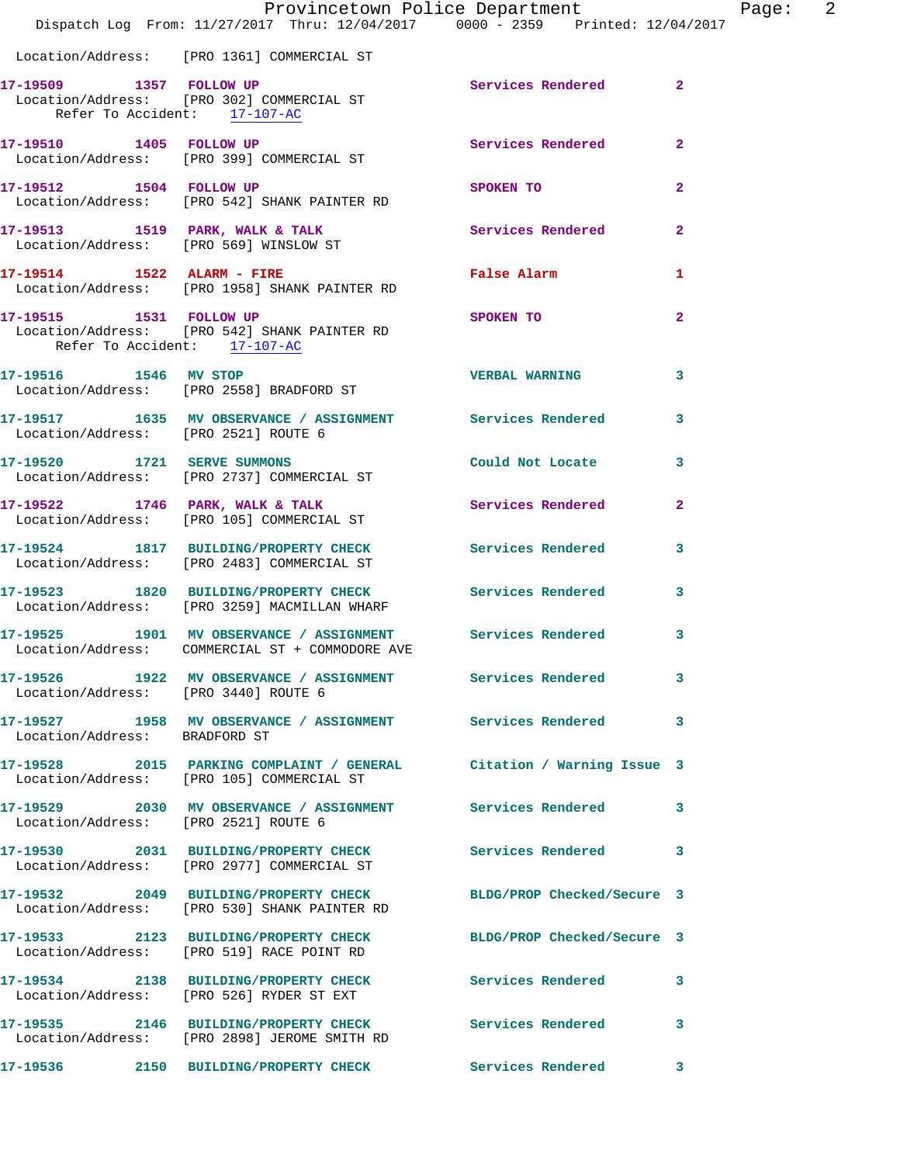|                                                         | Provincetown Police Department<br>Dispatch Log From: 11/27/2017 Thru: 12/04/2017 0000 - 2359 Printed: 12/04/2017  |                          |                |
|---------------------------------------------------------|-------------------------------------------------------------------------------------------------------------------|--------------------------|----------------|
|                                                         | Location/Address: [PRO 1361] COMMERCIAL ST                                                                        |                          |                |
| 17-19509 1357 FOLLOW UP<br>Refer To Accident: 17-107-AC | Location/Address: [PRO 302] COMMERCIAL ST                                                                         | Services Rendered 2      |                |
|                                                         | 17-19510 1405 FOLLOW UP<br>Location/Address: [PRO 399] COMMERCIAL ST                                              | <b>Services Rendered</b> | $\overline{2}$ |
| 17-19512 1504 FOLLOW UP                                 | Location/Address: [PRO 542] SHANK PAINTER RD                                                                      | SPOKEN TO                | $\overline{2}$ |
|                                                         | 17-19513 1519 PARK, WALK & TALK<br>Location/Address: [PRO 569] WINSLOW ST                                         | Services Rendered        | $\overline{a}$ |
| 17-19514 1522 ALARM - FIRE                              | Location/Address: [PRO 1958] SHANK PAINTER RD                                                                     | False Alarm              | 1              |
| Refer To Accident: 17-107-AC                            | 17-19515 1531 FOLLOW UP<br>Location/Address: [PRO 542] SHANK PAINTER RD                                           | SPOKEN TO                | $\overline{2}$ |
|                                                         | 17-19516 1546 MV STOP<br>Location/Address: [PRO 2558] BRADFORD ST                                                 | <b>VERBAL WARNING</b>    | 3              |
| Location/Address: [PRO 2521] ROUTE 6                    | 17-19517 1635 MV OBSERVANCE / ASSIGNMENT Services Rendered                                                        |                          | 3              |
|                                                         | 17-19520 1721 SERVE SUMMONS<br>Location/Address: [PRO 2737] COMMERCIAL ST                                         | Could Not Locate         | 3              |
|                                                         | 17-19522 1746 PARK, WALK & TALK<br>Location/Address: [PRO 105] COMMERCIAL ST                                      | Services Rendered        | $\mathbf{2}$   |
|                                                         | 17-19524 1817 BUILDING/PROPERTY CHECK Services Rendered<br>Location/Address: [PRO 2483] COMMERCIAL ST             |                          | 3              |
|                                                         | 17-19523 1820 BUILDING/PROPERTY CHECK Services Rendered<br>Location/Address: [PRO 3259] MACMILLAN WHARF           |                          | 3              |
|                                                         | 17-19525 1901 MV OBSERVANCE / ASSIGNMENT Services Rendered<br>Location/Address: COMMERCIAL ST + COMMODORE AVE     |                          | 3              |
|                                                         | 17-19526 1922 MV OBSERVANCE / ASSIGNMENT Services Rendered<br>Location/Address: [PRO 3440] ROUTE 6                |                          | 3              |
| Location/Address: BRADFORD ST                           | 17-19527 1958 MV OBSERVANCE / ASSIGNMENT Services Rendered                                                        |                          | 3              |
|                                                         | 17-19528 2015 PARKING COMPLAINT / GENERAL Citation / Warning Issue 3<br>Location/Address: [PRO 105] COMMERCIAL ST |                          |                |
| Location/Address: [PRO 2521] ROUTE 6                    | 17-19529 2030 MV OBSERVANCE / ASSIGNMENT Services Rendered                                                        |                          | 3              |
|                                                         | 17-19530 2031 BUILDING/PROPERTY CHECK<br>Location/Address: [PRO 2977] COMMERCIAL ST                               | Services Rendered        | 3              |
|                                                         | 17-19532 2049 BUILDING/PROPERTY CHECK BLDG/PROP Checked/Secure 3<br>Location/Address: [PRO 530] SHANK PAINTER RD  |                          |                |
|                                                         | 17-19533 2123 BUILDING/PROPERTY CHECK BLDG/PROP Checked/Secure 3<br>Location/Address: [PRO 519] RACE POINT RD     |                          |                |
|                                                         | 17-19534 2138 BUILDING/PROPERTY CHECK<br>Location/Address: [PRO 526] RYDER ST EXT                                 | <b>Services Rendered</b> | 3              |
|                                                         | 17-19535 2146 BUILDING/PROPERTY CHECK Services Rendered<br>Location/Address: [PRO 2898] JEROME SMITH RD           |                          | 3              |
|                                                         |                                                                                                                   |                          | 3              |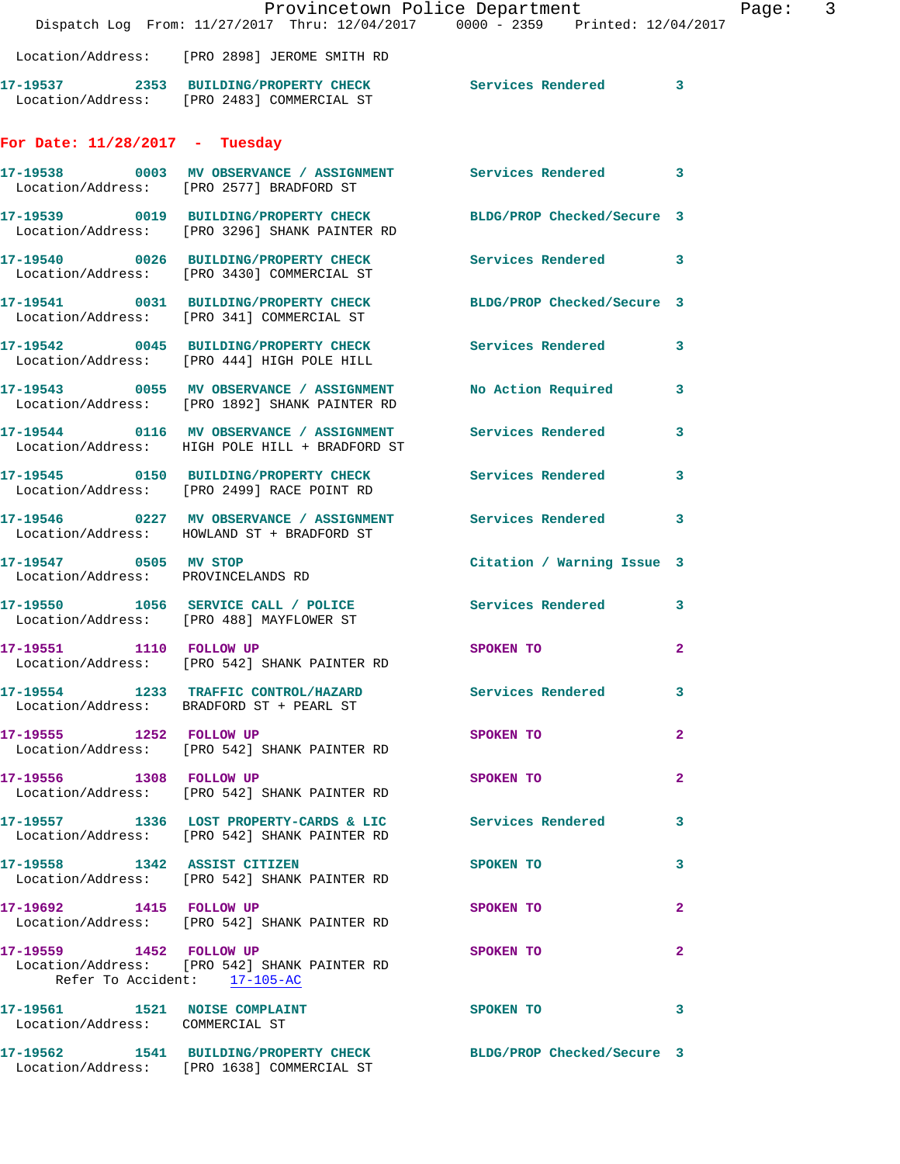|                                                                  | Provincetown Police Department<br>Dispatch Log From: 11/27/2017 Thru: 12/04/2017 0000 - 2359 Printed: 12/04/2017  |                            | Page: 3      |
|------------------------------------------------------------------|-------------------------------------------------------------------------------------------------------------------|----------------------------|--------------|
|                                                                  | Location/Address: [PRO 2898] JEROME SMITH RD                                                                      |                            |              |
|                                                                  | 17-19537 2353 BUILDING/PROPERTY CHECK Services Rendered 3<br>Location/Address: [PRO 2483] COMMERCIAL ST           |                            |              |
| For Date: $11/28/2017$ - Tuesday                                 |                                                                                                                   |                            |              |
|                                                                  | 17-19538 0003 MV OBSERVANCE / ASSIGNMENT Services Rendered 3<br>Location/Address: [PRO 2577] BRADFORD ST          |                            |              |
|                                                                  | 17-19539 0019 BUILDING/PROPERTY CHECK BLDG/PROP Checked/Secure 3<br>Location/Address: [PRO 3296] SHANK PAINTER RD |                            |              |
|                                                                  | 17-19540 0026 BUILDING/PROPERTY CHECK Services Rendered 3<br>Location/Address: [PRO 3430] COMMERCIAL ST           |                            |              |
|                                                                  | 17-19541 0031 BUILDING/PROPERTY CHECK BLDG/PROP Checked/Secure 3<br>Location/Address: [PRO 341] COMMERCIAL ST     |                            |              |
|                                                                  | 17-19542 0045 BUILDING/PROPERTY CHECK Services Rendered 3<br>Location/Address: [PRO 444] HIGH POLE HILL           |                            |              |
|                                                                  | 17-19543 0055 MV OBSERVANCE / ASSIGNMENT<br>Location/Address: [PRO 1892] SHANK PAINTER RD                         | No Action Required 3       |              |
|                                                                  | 17-19544 0116 MV OBSERVANCE / ASSIGNMENT Services Rendered 3<br>Location/Address: HIGH POLE HILL + BRADFORD ST    |                            |              |
|                                                                  | 17-19545 0150 BUILDING/PROPERTY CHECK Services Rendered<br>Location/Address: [PRO 2499] RACE POINT RD             |                            | 3            |
|                                                                  | 17-19546 0227 MV OBSERVANCE / ASSIGNMENT Services Rendered 3<br>Location/Address: HOWLAND ST + BRADFORD ST        |                            |              |
| Location/Address: PROVINCELANDS RD                               | 17-19547 0505 MV STOP                                                                                             | Citation / Warning Issue 3 |              |
|                                                                  | 17-19550 1056 SERVICE CALL / POLICE Services Rendered 3<br>Location/Address: [PRO 488] MAYFLOWER ST               |                            |              |
| 17-19551 1110 FOLLOW UP                                          | Location/Address: [PRO 542] SHANK PAINTER RD                                                                      | SPOKEN TO                  | $\mathbf{2}$ |
|                                                                  | 17-19554 1233 TRAFFIC CONTROL/HAZARD Services Rendered<br>Location/Address: BRADFORD ST + PEARL ST                |                            | 3            |
|                                                                  | 17-19555 1252 FOLLOW UP<br>Location/Address: [PRO 542] SHANK PAINTER RD                                           | SPOKEN TO                  | $\mathbf{2}$ |
| 17-19556 1308 FOLLOW UP                                          | Location/Address: [PRO 542] SHANK PAINTER RD                                                                      | <b>SPOKEN TO</b>           | $\mathbf{2}$ |
|                                                                  | 17-19557 1336 LOST PROPERTY-CARDS & LIC Services Rendered 3<br>Location/Address: [PRO 542] SHANK PAINTER RD       |                            |              |
|                                                                  | 17-19558 1342 ASSIST CITIZEN<br>Location/Address: [PRO 542] SHANK PAINTER RD                                      | <b>SPOKEN TO</b>           | 3            |
|                                                                  | 17-19692 1415 FOLLOW UP<br>Location/Address: [PRO 542] SHANK PAINTER RD                                           | SPOKEN TO                  | $\mathbf{2}$ |
| 17-19559 1452 FOLLOW UP                                          | Location/Address: [PRO 542] SHANK PAINTER RD<br>Refer To Accident: 17-105-AC                                      | SPOKEN TO                  | 2            |
| 17-19561 1521 NOISE COMPLAINT<br>Location/Address: COMMERCIAL ST |                                                                                                                   | SPOKEN TO                  | 3            |
|                                                                  | 17-19562 1541 BUILDING/PROPERTY CHECK BLDG/PROP Checked/Secure 3<br>Location/Address: [PRO 1638] COMMERCIAL ST    |                            |              |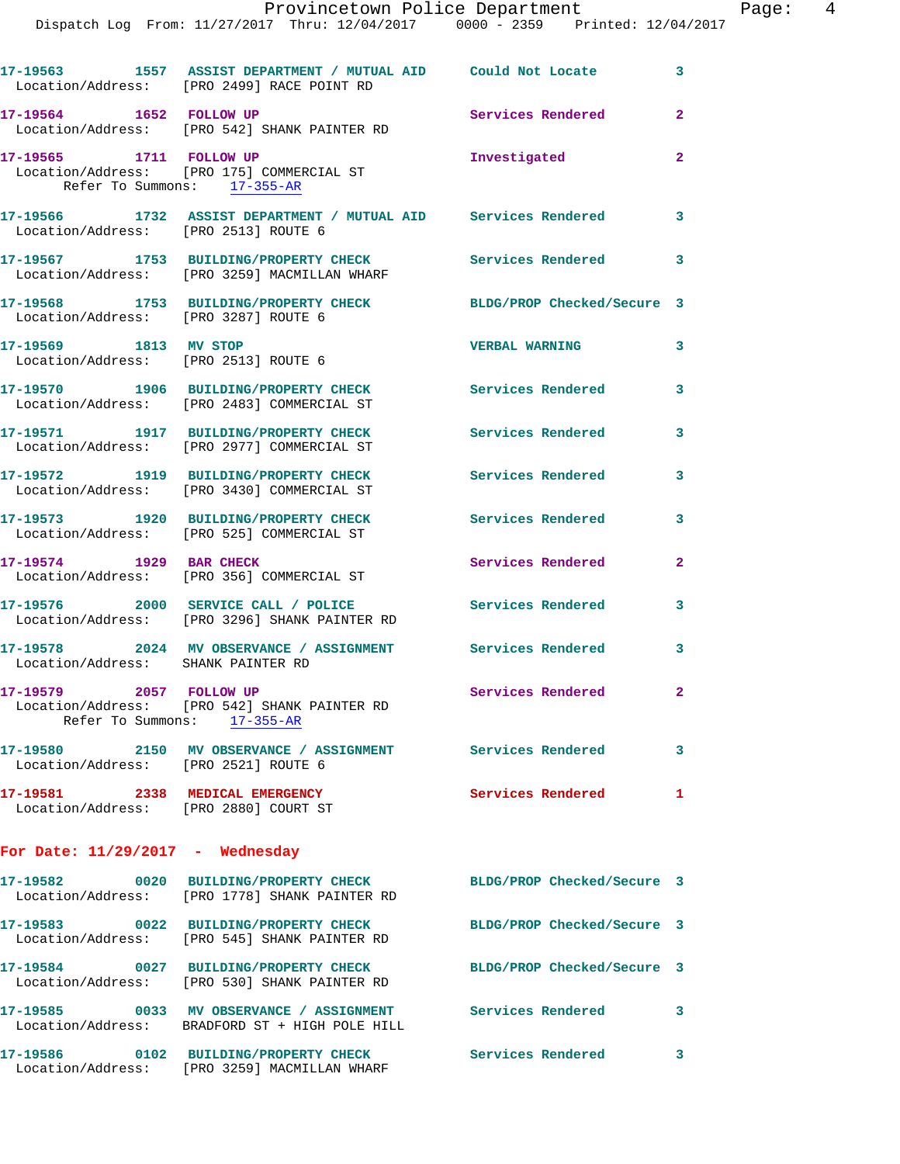| Location/Address: [PRO 2499] RACE POINT RD                                                             |                            | $\mathbf{3}$                                                                                                                                                                                                                                                                                                                                                                                                                                                                                                                                                                                                      |
|--------------------------------------------------------------------------------------------------------|----------------------------|-------------------------------------------------------------------------------------------------------------------------------------------------------------------------------------------------------------------------------------------------------------------------------------------------------------------------------------------------------------------------------------------------------------------------------------------------------------------------------------------------------------------------------------------------------------------------------------------------------------------|
| 17-19564 1652 FOLLOW UP<br>Location/Address: [PRO 542] SHANK PAINTER RD                                | Services Rendered          | $\overline{2}$                                                                                                                                                                                                                                                                                                                                                                                                                                                                                                                                                                                                    |
| 17-19565 1711 FOLLOW UP<br>Location/Address: [PRO 175] COMMERCIAL ST<br>Refer To Summons: 17-355-AR    | Investigated               | $\overline{2}$                                                                                                                                                                                                                                                                                                                                                                                                                                                                                                                                                                                                    |
|                                                                                                        |                            | 3                                                                                                                                                                                                                                                                                                                                                                                                                                                                                                                                                                                                                 |
| 17-19567 1753 BUILDING/PROPERTY CHECK<br>Location/Address: [PRO 3259] MACMILLAN WHARF                  | Services Rendered          | 3                                                                                                                                                                                                                                                                                                                                                                                                                                                                                                                                                                                                                 |
| 17-19568 1753 BUILDING/PROPERTY CHECK<br>Location/Address: [PRO 3287] ROUTE 6                          | BLDG/PROP Checked/Secure 3 |                                                                                                                                                                                                                                                                                                                                                                                                                                                                                                                                                                                                                   |
| 17-19569 1813 MV STOP<br>Location/Address: [PRO 2513] ROUTE 6                                          |                            | 3                                                                                                                                                                                                                                                                                                                                                                                                                                                                                                                                                                                                                 |
| 17-19570 1906 BUILDING/PROPERTY CHECK<br>Location/Address: [PRO 2483] COMMERCIAL ST                    |                            | 3                                                                                                                                                                                                                                                                                                                                                                                                                                                                                                                                                                                                                 |
| 17-19571 1917 BUILDING/PROPERTY CHECK<br>Location/Address: [PRO 2977] COMMERCIAL ST                    | Services Rendered          | 3                                                                                                                                                                                                                                                                                                                                                                                                                                                                                                                                                                                                                 |
| 17-19572 1919 BUILDING/PROPERTY CHECK<br>Location/Address: [PRO 3430] COMMERCIAL ST                    | <b>Services Rendered</b>   | 3                                                                                                                                                                                                                                                                                                                                                                                                                                                                                                                                                                                                                 |
| 17-19573 1920 BUILDING/PROPERTY CHECK<br>Location/Address: [PRO 525] COMMERCIAL ST                     | Services Rendered          | 3                                                                                                                                                                                                                                                                                                                                                                                                                                                                                                                                                                                                                 |
| 17-19574 1929 BAR CHECK<br>Location/Address: [PRO 356] COMMERCIAL ST                                   | Services Rendered          | $\mathbf{2}$                                                                                                                                                                                                                                                                                                                                                                                                                                                                                                                                                                                                      |
| 17-19576 2000 SERVICE CALL / POLICE<br>Location/Address: [PRO 3296] SHANK PAINTER RD                   | Services Rendered          | 3                                                                                                                                                                                                                                                                                                                                                                                                                                                                                                                                                                                                                 |
| Location/Address: SHANK PAINTER RD                                                                     |                            | 3                                                                                                                                                                                                                                                                                                                                                                                                                                                                                                                                                                                                                 |
| 17-19579 2057 FOLLOW UP<br>Location/Address: [PRO 542] SHANK PAINTER RD<br>Refer To Summons: 17-355-AR | Services Rendered          | $\mathbf{2}$                                                                                                                                                                                                                                                                                                                                                                                                                                                                                                                                                                                                      |
| Location/Address: [PRO 2521] ROUTE 6                                                                   |                            | $\overline{\mathbf{3}}$                                                                                                                                                                                                                                                                                                                                                                                                                                                                                                                                                                                           |
| 17-19581 2338 MEDICAL EMERGENCY<br>Location/Address: [PRO 2880] COURT ST                               |                            |                                                                                                                                                                                                                                                                                                                                                                                                                                                                                                                                                                                                                   |
| For Date: $11/29/2017$ - Wednesday                                                                     |                            |                                                                                                                                                                                                                                                                                                                                                                                                                                                                                                                                                                                                                   |
| Location/Address: [PRO 1778] SHANK PAINTER RD                                                          | BLDG/PROP Checked/Secure 3 |                                                                                                                                                                                                                                                                                                                                                                                                                                                                                                                                                                                                                   |
| 17-19583 0022 BUILDING/PROPERTY CHECK<br>Location/Address: [PRO 545] SHANK PAINTER RD                  | BLDG/PROP Checked/Secure 3 |                                                                                                                                                                                                                                                                                                                                                                                                                                                                                                                                                                                                                   |
| Location/Address: [PRO 530] SHANK PAINTER RD                                                           | BLDG/PROP Checked/Secure 3 |                                                                                                                                                                                                                                                                                                                                                                                                                                                                                                                                                                                                                   |
| Location/Address: BRADFORD ST + HIGH POLE HILL                                                         |                            | 3                                                                                                                                                                                                                                                                                                                                                                                                                                                                                                                                                                                                                 |
|                                                                                                        | Services Rendered          | $\mathbf{3}$                                                                                                                                                                                                                                                                                                                                                                                                                                                                                                                                                                                                      |
|                                                                                                        |                            | 17-19563 1557 ASSIST DEPARTMENT / MUTUAL AID Could Not Locate<br>17-19566 1732 ASSIST DEPARTMENT / MUTUAL AID Services Rendered<br>Location/Address: [PRO 2513] ROUTE 6<br><b>VERBAL WARNING</b><br>Services Rendered<br>17-19578 2024 MV OBSERVANCE / ASSIGNMENT Services Rendered<br>17-19580 2150 MV OBSERVANCE / ASSIGNMENT Services Rendered<br>Services Rendered 1<br>17-19582 0020 BUILDING/PROPERTY CHECK<br>17-19584 0027 BUILDING/PROPERTY CHECK<br>17-19585 0033 MV OBSERVANCE / ASSIGNMENT Services Rendered<br>17-19586 0102 BUILDING/PROPERTY CHECK<br>Location/Address: [PRO 3259] MACMILLAN WHARF |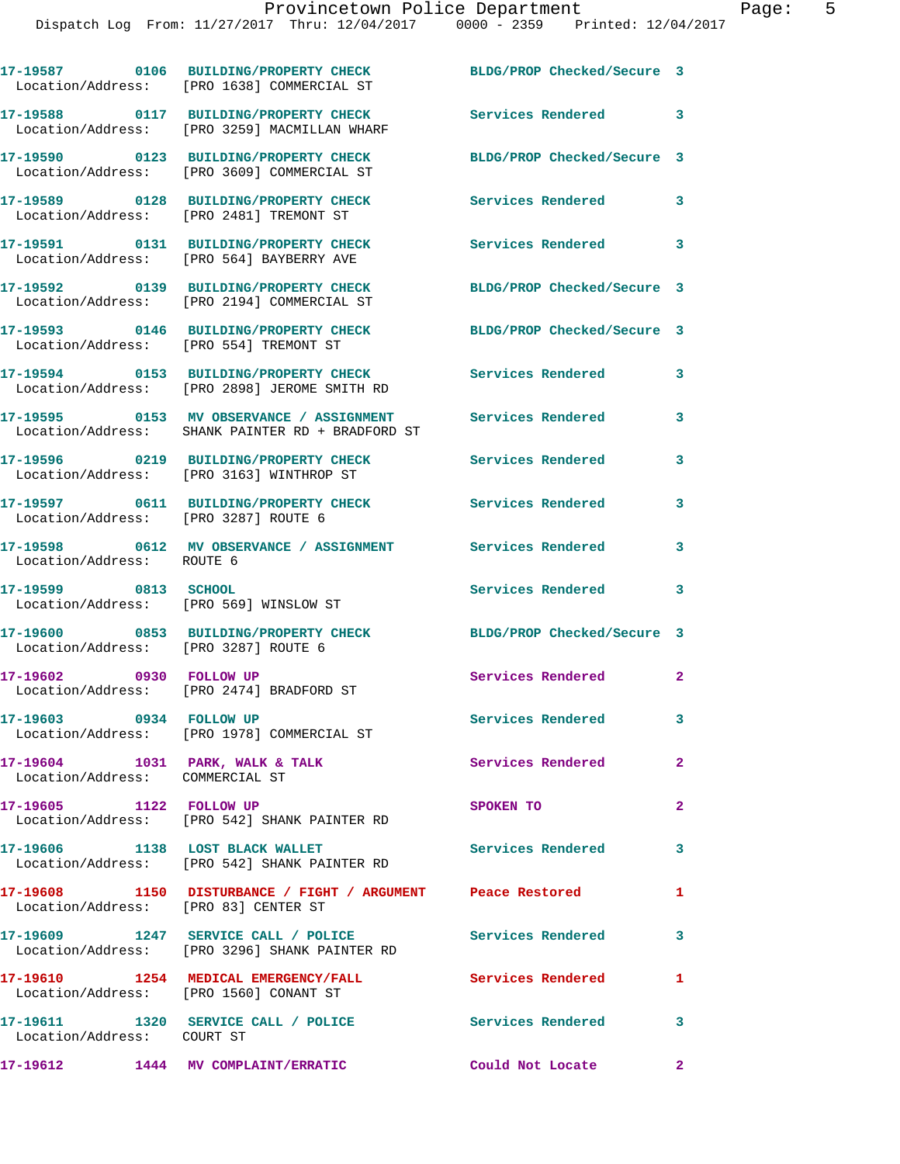|                                                                    | 17-19587 0106 BUILDING/PROPERTY CHECK<br>Location/Address: [PRO 1638] COMMERCIAL ST                      | BLDG/PROP Checked/Secure 3 |                            |
|--------------------------------------------------------------------|----------------------------------------------------------------------------------------------------------|----------------------------|----------------------------|
|                                                                    | 17-19588 0117 BUILDING/PROPERTY CHECK<br>Location/Address: [PRO 3259] MACMILLAN WHARF                    | Services Rendered 3        |                            |
|                                                                    | 17-19590 0123 BUILDING/PROPERTY CHECK<br>Location/Address: [PRO 3609] COMMERCIAL ST                      | BLDG/PROP Checked/Secure 3 |                            |
|                                                                    | 17-19589 0128 BUILDING/PROPERTY CHECK<br>Location/Address: [PRO 2481] TREMONT ST                         | Services Rendered          | 3                          |
|                                                                    | 17-19591 0131 BUILDING/PROPERTY CHECK<br>Location/Address: [PRO 564] BAYBERRY AVE                        | Services Rendered          | $\overline{\phantom{a}}$ 3 |
|                                                                    | 17-19592 0139 BUILDING/PROPERTY CHECK<br>Location/Address: [PRO 2194] COMMERCIAL ST                      | BLDG/PROP Checked/Secure 3 |                            |
| Location/Address: [PRO 554] TREMONT ST                             | 17-19593 0146 BUILDING/PROPERTY CHECK                                                                    | BLDG/PROP Checked/Secure 3 |                            |
|                                                                    | 17-19594 0153 BUILDING/PROPERTY CHECK<br>Location/Address: [PRO 2898] JEROME SMITH RD                    | <b>Services Rendered</b>   | 3                          |
|                                                                    | 17-19595 0153 MV OBSERVANCE / ASSIGNMENT<br>Location/Address: SHANK PAINTER RD + BRADFORD ST             | Services Rendered          | 3                          |
|                                                                    | 17-19596 0219 BUILDING/PROPERTY CHECK<br>Location/Address: [PRO 3163] WINTHROP ST                        | Services Rendered          | 3                          |
| Location/Address: [PRO 3287] ROUTE 6                               | 17-19597 0611 BUILDING/PROPERTY CHECK Services Rendered                                                  |                            | 3                          |
|                                                                    |                                                                                                          |                            | 3                          |
| 17-19599 0813 SCHOOL                                               | Location/Address: [PRO 569] WINSLOW ST                                                                   | Services Rendered          | 3                          |
| Location/Address: [PRO 3287] ROUTE 6                               | 17-19600 0853 BUILDING/PROPERTY CHECK                                                                    | BLDG/PROP Checked/Secure 3 |                            |
| 17-19602 0930 FOLLOW UP                                            | Location/Address: [PRO 2474] BRADFORD ST                                                                 | Services Rendered          | $\mathbf{2}$               |
| 17-19603 0934 FOLLOW UP                                            | Location/Address: [PRO 1978] COMMERCIAL ST                                                               | <b>Services Rendered</b>   | 3                          |
| 17-19604 1031 PARK, WALK & TALK<br>Location/Address: COMMERCIAL ST |                                                                                                          | <b>Services Rendered</b>   | $\sim$ 2                   |
|                                                                    | 17-19605 1122 FOLLOW UP<br>Location/Address: [PRO 542] SHANK PAINTER RD                                  | SPOKEN TO                  | $\mathbf{2}$               |
| 17-19606 1138 LOST BLACK WALLET                                    | Location/Address: [PRO 542] SHANK PAINTER RD                                                             | <b>Services Rendered</b> 3 |                            |
| Location/Address: [PRO 83] CENTER ST                               | 17-19608 1150 DISTURBANCE / FIGHT / ARGUMENT Peace Restored                                              |                            | 1                          |
|                                                                    | 17-19609 1247 SERVICE CALL / POLICE Services Rendered 3<br>Location/Address: [PRO 3296] SHANK PAINTER RD |                            |                            |
|                                                                    | 17-19610 1254 MEDICAL EMERGENCY/FALL<br>Location/Address: [PRO 1560] CONANT ST                           | <b>Services Rendered</b>   | $\mathbf{1}$               |
| Location/Address: COURT ST                                         | 17-19611 1320 SERVICE CALL / POLICE                                                                      | Services Rendered 3        |                            |
|                                                                    | 17-19612 1444 MV COMPLAINT/ERRATIC                                                                       | Could Not Locate 2         |                            |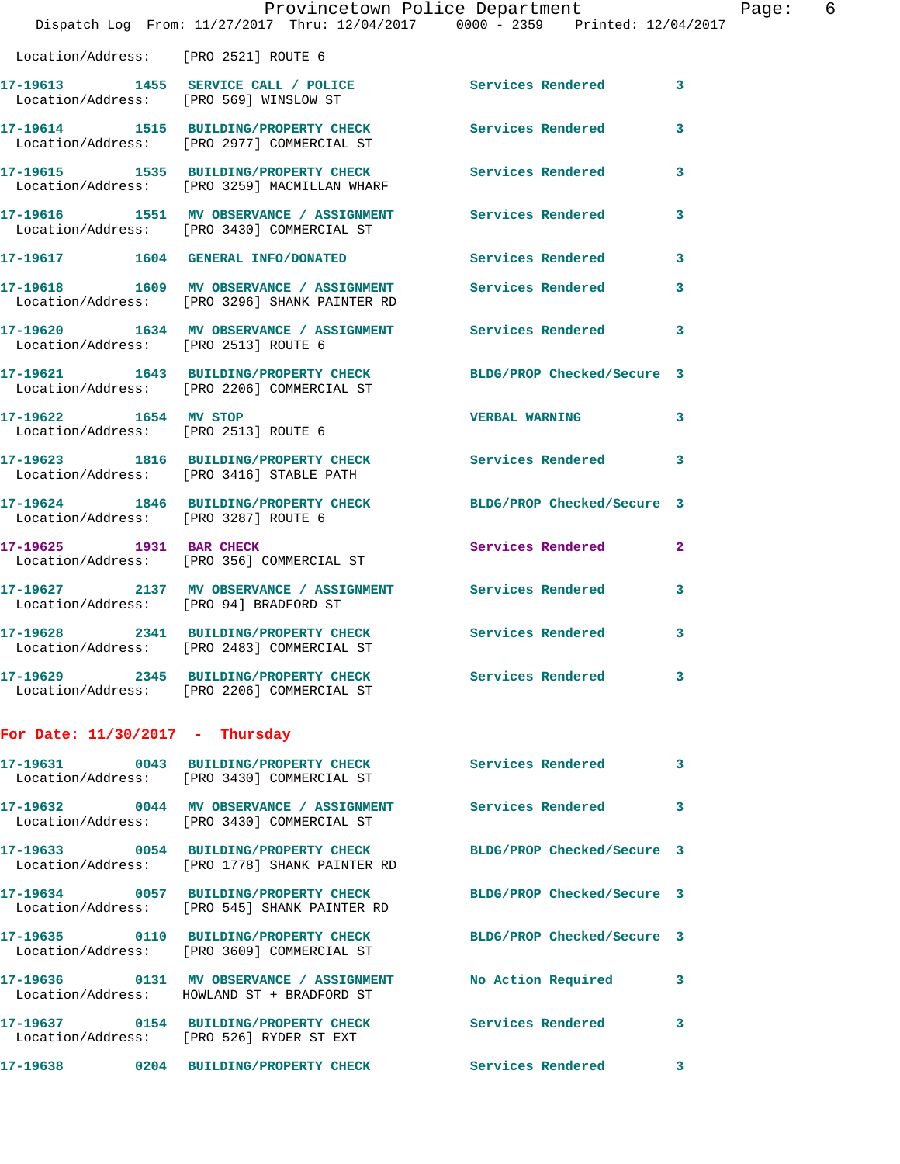|                                   | Provincetown Police Department                                                                                    |                            |   |
|-----------------------------------|-------------------------------------------------------------------------------------------------------------------|----------------------------|---|
|                                   | Dispatch Log From: 11/27/2017 Thru: 12/04/2017 0000 - 2359 Printed: 12/04/2017                                    |                            |   |
|                                   | Location/Address: [PRO 2521] ROUTE 6                                                                              |                            |   |
|                                   | 17-19613 1455 SERVICE CALL / POLICE<br>Location/Address: [PRO 569] WINSLOW ST                                     | Services Rendered          | 3 |
|                                   | 17-19614 1515 BUILDING/PROPERTY CHECK<br>Location/Address: [PRO 2977] COMMERCIAL ST                               | <b>Services Rendered</b>   | 3 |
|                                   | 17-19615 1535 BUILDING/PROPERTY CHECK Services Rendered<br>Location/Address: [PRO 3259] MACMILLAN WHARF           |                            | 3 |
|                                   | 17-19616 1551 MV OBSERVANCE / ASSIGNMENT Services Rendered<br>Location/Address: [PRO 3430] COMMERCIAL ST          |                            | 3 |
|                                   | 17-19617 1604 GENERAL INFO/DONATED                                                                                | <b>Services Rendered</b>   | 3 |
|                                   | 17-19618 1609 MV OBSERVANCE / ASSIGNMENT Services Rendered<br>Location/Address: [PRO 3296] SHANK PAINTER RD       |                            | 3 |
|                                   | 17-19620 1634 MV OBSERVANCE / ASSIGNMENT Services Rendered<br>Location/Address: [PRO 2513] ROUTE 6                |                            | 3 |
|                                   | 17-19621 1643 BUILDING/PROPERTY CHECK BLDG/PROP Checked/Secure 3<br>Location/Address: [PRO 2206] COMMERCIAL ST    |                            |   |
| 17-19622 1654 MV STOP             | Location/Address: [PRO 2513] ROUTE 6                                                                              | <b>VERBAL WARNING</b>      | 3 |
|                                   | 17-19623 1816 BUILDING/PROPERTY CHECK Services Rendered<br>Location/Address: [PRO 3416] STABLE PATH               |                            | 3 |
|                                   | 17-19624 1846 BUILDING/PROPERTY CHECK<br>Location/Address: [PRO 3287] ROUTE 6                                     | BLDG/PROP Checked/Secure 3 |   |
| 17-19625 1931 BAR CHECK           | Location/Address: [PRO 356] COMMERCIAL ST                                                                         | Services Rendered          | 2 |
|                                   | 17-19627 2137 MV OBSERVANCE / ASSIGNMENT Services Rendered<br>Location/Address: [PRO 94] BRADFORD ST              |                            | 3 |
|                                   | 17-19628 2341 BUILDING/PROPERTY CHECK Services Rendered<br>Location/Address: [PRO 2483] COMMERCIAL ST             |                            | 3 |
|                                   | 17-19629 2345 BUILDING/PROPERTY CHECK Services Rendered<br>Location/Address: [PRO 2206] COMMERCIAL ST             |                            | 3 |
| For Date: $11/30/2017$ - Thursday |                                                                                                                   |                            |   |
|                                   | 17-19631 0043 BUILDING/PROPERTY CHECK<br>Location/Address: [PRO 3430] COMMERCIAL ST                               | <b>Services Rendered</b>   | 3 |
|                                   | 17-19632 0044 MV OBSERVANCE / ASSIGNMENT Services Rendered<br>Location/Address: [PRO 3430] COMMERCIAL ST          |                            | 3 |
|                                   | 17-19633 0054 BUILDING/PROPERTY CHECK BLDG/PROP Checked/Secure 3<br>Location/Address: [PRO 1778] SHANK PAINTER RD |                            |   |
|                                   | 17-19634 0057 BUILDING/PROPERTY CHECK BLDG/PROP Checked/Secure 3<br>Location/Address: [PRO 545] SHANK PAINTER RD  |                            |   |
|                                   | 17-19635 0110 BUILDING/PROPERTY CHECK BLDG/PROP Checked/Secure 3<br>Location/Address: [PRO 3609] COMMERCIAL ST    |                            |   |
|                                   | 17-19636 0131 MV OBSERVANCE / ASSIGNMENT<br>Location/Address: HOWLAND ST + BRADFORD ST                            | <b>No Action Required</b>  | 3 |
|                                   | 17-19637 0154 BUILDING/PROPERTY CHECK<br>Location/Address: [PRO 526] RYDER ST EXT                                 | <b>Services Rendered</b>   | 3 |
|                                   | 17-19638 0204 BUILDING/PROPERTY CHECK                                                                             | <b>Services Rendered</b>   | 3 |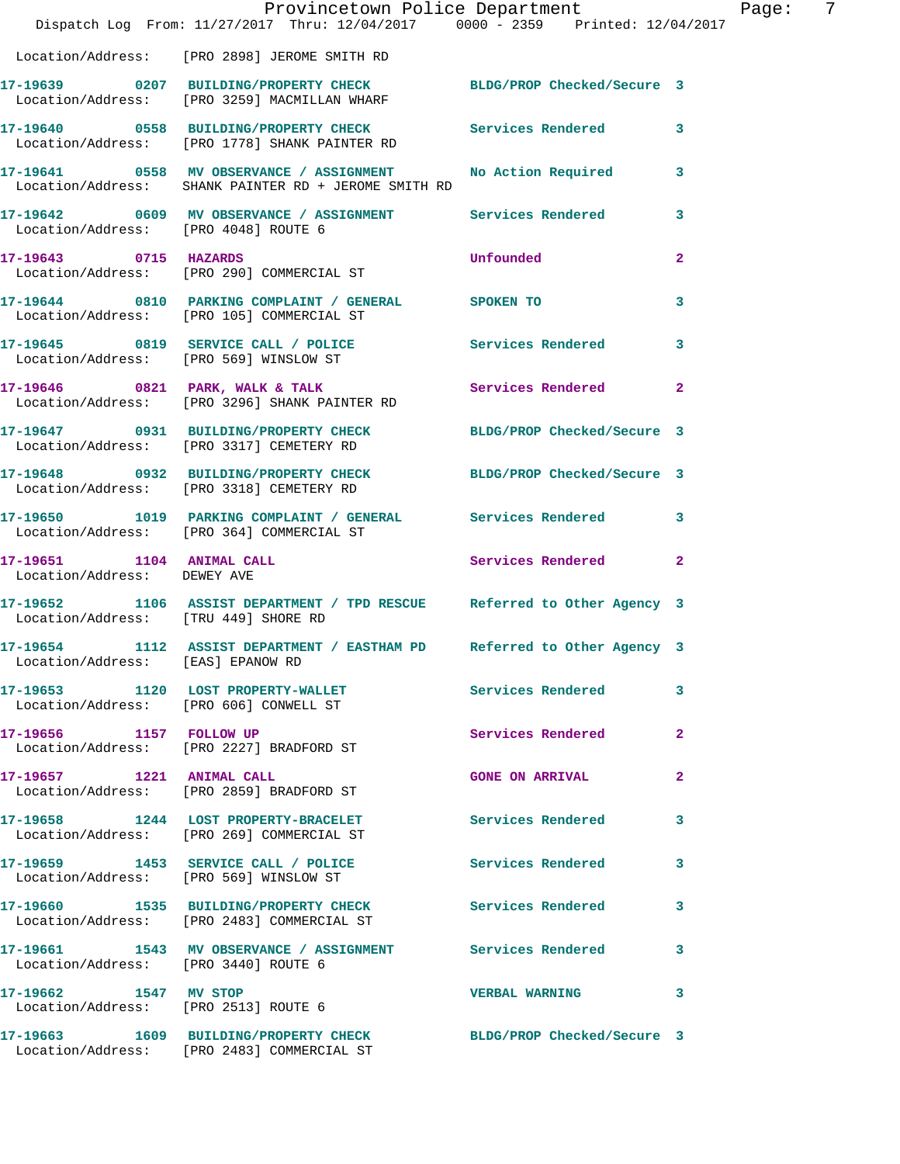|                                                          | Provincetown Police Department                                                                                   |                            |                |
|----------------------------------------------------------|------------------------------------------------------------------------------------------------------------------|----------------------------|----------------|
|                                                          | Dispatch Log From: 11/27/2017 Thru: 12/04/2017 0000 - 2359 Printed: 12/04/2017                                   |                            |                |
|                                                          | Location/Address: [PRO 2898] JEROME SMITH RD                                                                     |                            |                |
|                                                          | 17-19639 0207 BUILDING/PROPERTY CHECK BLDG/PROP Checked/Secure 3<br>Location/Address: [PRO 3259] MACMILLAN WHARF |                            |                |
|                                                          | 17-19640 0558 BUILDING/PROPERTY CHECK Services Rendered<br>Location/Address: [PRO 1778] SHANK PAINTER RD         |                            | 3              |
|                                                          | 17-19641 0558 MV OBSERVANCE / ASSIGNMENT<br>Location/Address: SHANK PAINTER RD + JEROME SMITH RD                 | No Action Required         | 3              |
|                                                          | 17-19642 0609 MV OBSERVANCE / ASSIGNMENT Services Rendered<br>Location/Address: [PRO 4048] ROUTE 6               |                            | 3              |
| 17-19643 0715 HAZARDS                                    | Location/Address: [PRO 290] COMMERCIAL ST                                                                        | Unfounded                  | $\mathbf{2}$   |
|                                                          | 17-19644 0810 PARKING COMPLAINT / GENERAL SPOKEN TO<br>Location/Address: [PRO 105] COMMERCIAL ST                 |                            | 3              |
|                                                          | 17-19645 0819 SERVICE CALL / POLICE Services Rendered<br>Location/Address: [PRO 569] WINSLOW ST                  |                            | 3              |
|                                                          | 17-19646 0821 PARK, WALK & TALK<br>Location/Address: [PRO 3296] SHANK PAINTER RD                                 | Services Rendered          | $\overline{2}$ |
|                                                          | 17-19647 0931 BUILDING/PROPERTY CHECK BLDG/PROP Checked/Secure 3<br>Location/Address: [PRO 3317] CEMETERY RD     |                            |                |
|                                                          | 17-19648 0932 BUILDING/PROPERTY CHECK BLDG/PROP Checked/Secure 3<br>Location/Address: [PRO 3318] CEMETERY RD     |                            |                |
|                                                          | 17-19650 1019 PARKING COMPLAINT / GENERAL Services Rendered<br>Location/Address: [PRO 364] COMMERCIAL ST         |                            | 3              |
| 17-19651 1104 ANIMAL CALL<br>Location/Address: DEWEY AVE |                                                                                                                  | Services Rendered          | $\overline{a}$ |
| Location/Address: [TRU 449] SHORE RD                     | 17-19652 1106 ASSIST DEPARTMENT / TPD RESCUE Referred to Other Agency 3                                          |                            |                |
|                                                          | 17-19654 1112 ASSIST DEPARTMENT / EASTHAM PD Referred to Other Agency 3<br>Location/Address: [EAS] EPANOW RD     |                            |                |
|                                                          | 17-19653 1120 LOST PROPERTY-WALLET<br>Location/Address: [PRO 606] CONWELL ST                                     | <b>Services Rendered</b>   | 3              |
| 17-19656 1157 FOLLOW UP                                  | Location/Address: [PRO 2227] BRADFORD ST                                                                         | Services Rendered          | 2              |
| 17-19657 1221 ANIMAL CALL                                | Location/Address: [PRO 2859] BRADFORD ST                                                                         | <b>GONE ON ARRIVAL</b>     | 2              |
|                                                          | 17-19658 1244 LOST PROPERTY-BRACELET<br>Location/Address: [PRO 269] COMMERCIAL ST                                | Services Rendered          | 3              |
|                                                          | 17-19659 1453 SERVICE CALL / POLICE<br>Location/Address: [PRO 569] WINSLOW ST                                    | <b>Services Rendered</b>   | 3              |
|                                                          | 17-19660 1535 BUILDING/PROPERTY CHECK Services Rendered<br>Location/Address: [PRO 2483] COMMERCIAL ST            |                            | 3              |
| Location/Address: [PRO 3440] ROUTE 6                     | 17-19661 1543 MV OBSERVANCE / ASSIGNMENT Services Rendered                                                       |                            | 3              |
| 17-19662 1547 MV STOP                                    | Location/Address: [PRO 2513] ROUTE 6                                                                             | <b>VERBAL WARNING</b>      | 3              |
|                                                          | 17-19663 1609 BUILDING/PROPERTY CHECK<br>Location/Address: [PRO 2483] COMMERCIAL ST                              | BLDG/PROP Checked/Secure 3 |                |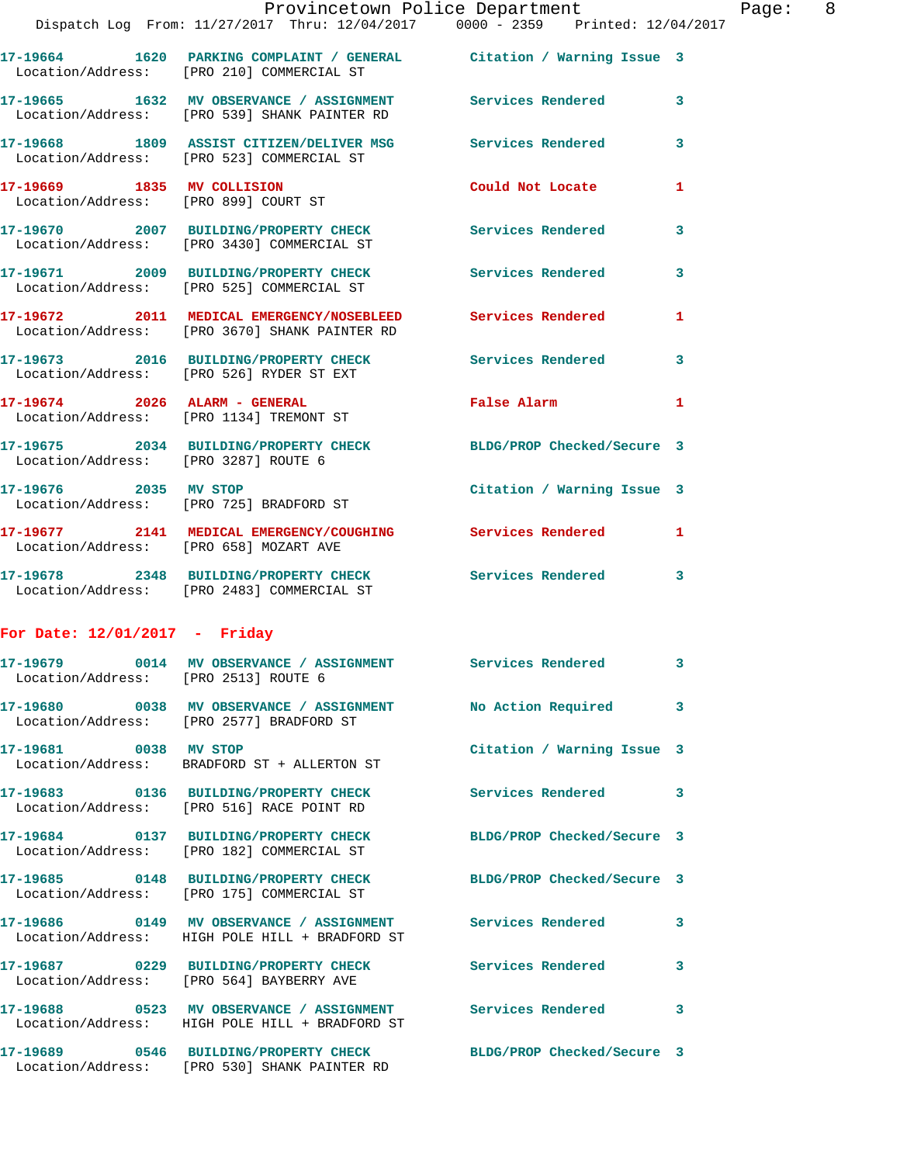|                                                                    | Provincetown Police Department<br>Dispatch Log From: 11/27/2017 Thru: 12/04/2017 0000 - 2359 Printed: 12/04/2017  |                            |   |
|--------------------------------------------------------------------|-------------------------------------------------------------------------------------------------------------------|----------------------------|---|
|                                                                    |                                                                                                                   |                            |   |
|                                                                    | 17-19664 1620 PARKING COMPLAINT / GENERAL Citation / Warning Issue 3<br>Location/Address: [PRO 210] COMMERCIAL ST |                            |   |
|                                                                    | 17-19665 1632 MV OBSERVANCE / ASSIGNMENT Services Rendered<br>Location/Address: [PRO 539] SHANK PAINTER RD        |                            | 3 |
|                                                                    | 17-19668 1809 ASSIST CITIZEN/DELIVER MSG Services Rendered<br>Location/Address: [PRO 523] COMMERCIAL ST           |                            | 3 |
| 17-19669 1835 MV COLLISION<br>Location/Address: [PRO 899] COURT ST |                                                                                                                   | Could Not Locate           | 1 |
|                                                                    | 17-19670 2007 BUILDING/PROPERTY CHECK<br>Location/Address: [PRO 3430] COMMERCIAL ST                               | Services Rendered          | 3 |
|                                                                    | 17-19671 2009 BUILDING/PROPERTY CHECK Services Rendered<br>Location/Address: [PRO 525] COMMERCIAL ST              |                            | 3 |
|                                                                    | 17-19672 2011 MEDICAL EMERGENCY/NOSEBLEED Services Rendered<br>Location/Address: [PRO 3670] SHANK PAINTER RD      |                            | 1 |
|                                                                    | 17-19673 2016 BUILDING/PROPERTY CHECK Services Rendered<br>Location/Address: [PRO 526] RYDER ST EXT               |                            | 3 |
|                                                                    | 17-19674 2026 ALARM - GENERAL<br>Location/Address: [PRO 1134] TREMONT ST                                          | False Alarm                | 1 |
| Location/Address: [PRO 3287] ROUTE 6                               | 17-19675 2034 BUILDING/PROPERTY CHECK BLDG/PROP Checked/Secure 3                                                  |                            |   |
| 17-19676 2035 MV STOP                                              | Location/Address: [PRO 725] BRADFORD ST                                                                           | Citation / Warning Issue 3 |   |
| Location/Address: [PRO 658] MOZART AVE                             | 17-19677 2141 MEDICAL EMERGENCY/COUGHING Services Rendered                                                        |                            | 1 |
|                                                                    | 17-19678 2348 BUILDING/PROPERTY CHECK Services Rendered<br>Location/Address: [PRO 2483] COMMERCIAL ST             |                            | 3 |
| For Date: $12/01/2017$ - Friday                                    |                                                                                                                   |                            |   |
| Location/Address: [PRO 2513] ROUTE 6                               | 17-19679 0014 MV OBSERVANCE / ASSIGNMENT                                                                          | Services Rendered          |   |
|                                                                    | Location/Address: [PRO 2577] BRADFORD ST                                                                          |                            | 3 |
| 17-19681 0038 MV STOP                                              | Location/Address: BRADFORD ST + ALLERTON ST                                                                       | Citation / Warning Issue 3 |   |
|                                                                    | 17-19683 0136 BUILDING/PROPERTY CHECK<br>Location/Address: [PRO 516] RACE POINT RD                                | <b>Services Rendered</b>   | 3 |
|                                                                    | 17-19684 0137 BUILDING/PROPERTY CHECK<br>Location/Address: [PRO 182] COMMERCIAL ST                                | BLDG/PROP Checked/Secure 3 |   |
|                                                                    | 17-19685 0148 BUILDING/PROPERTY CHECK<br>Location/Address: [PRO 175] COMMERCIAL ST                                | BLDG/PROP Checked/Secure 3 |   |
| 17-19686                                                           | 0149 MV OBSERVANCE / ASSIGNMENT Services Rendered<br>Location/Address: HIGH POLE HILL + BRADFORD ST               |                            | 3 |
|                                                                    |                                                                                                                   |                            |   |

**17-19687 0229 BUILDING/PROPERTY CHECK Services Rendered 3**  Location/Address: [PRO 564] BAYBERRY AVE

**17-19688 0523 MV OBSERVANCE / ASSIGNMENT Services Rendered 3**  Location/Address: HIGH POLE HILL + BRADFORD ST

Location/Address: [PRO 530] SHANK PAINTER RD

**17-19689 0546 BUILDING/PROPERTY CHECK BLDG/PROP Checked/Secure 3**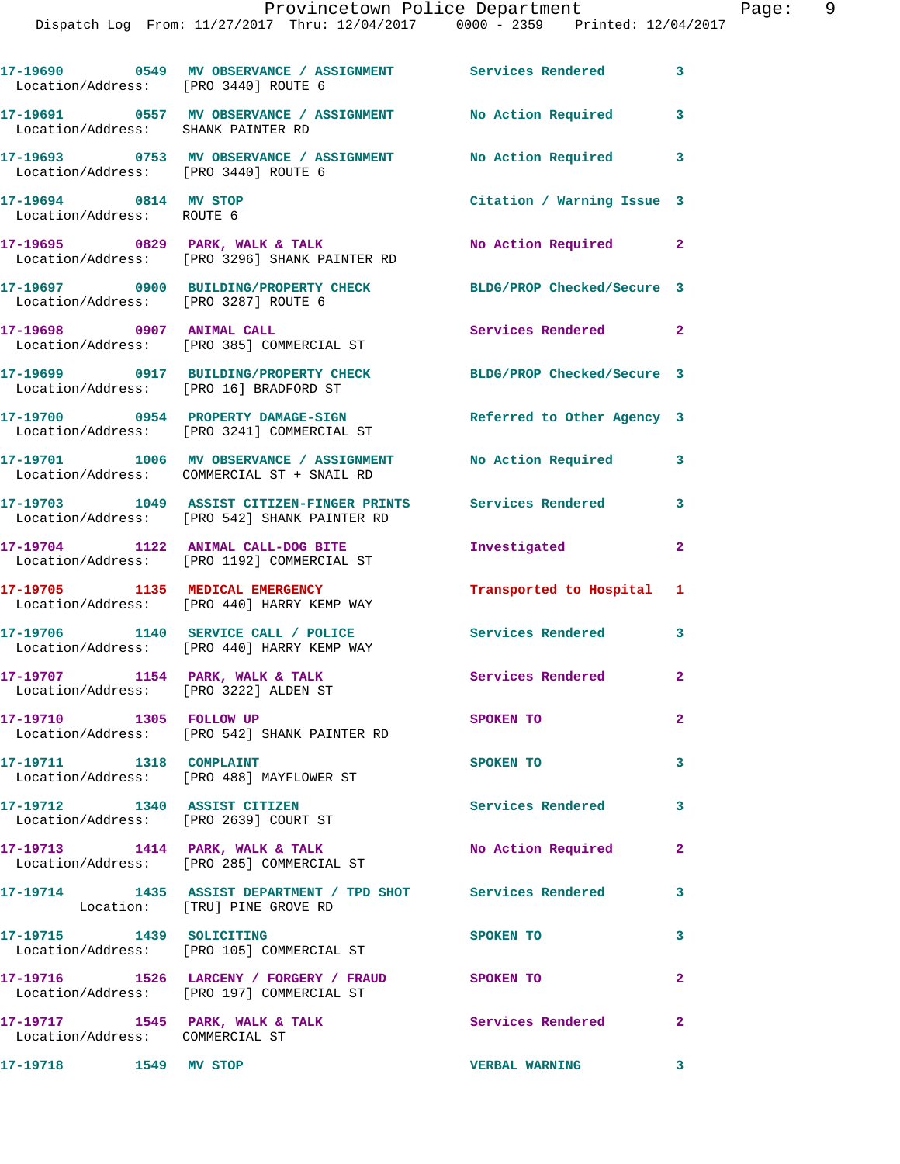|  |  | Provincetown Police Department |  |                                                                                | Page: |  |
|--|--|--------------------------------|--|--------------------------------------------------------------------------------|-------|--|
|  |  |                                |  | Dispatch Log From: 11/27/2017 Thru: 12/04/2017 0000 - 2359 Printed: 12/04/2017 |       |  |

| Location/Address: [PRO 3440] ROUTE 6               | 17-19690 0549 MV OBSERVANCE / ASSIGNMENT Services Rendered 3                                                 |                            |                         |
|----------------------------------------------------|--------------------------------------------------------------------------------------------------------------|----------------------------|-------------------------|
| Location/Address: SHANK PAINTER RD                 | 17-19691 0557 MV OBSERVANCE / ASSIGNMENT                                                                     | <b>No Action Required</b>  | 3                       |
| Location/Address: [PRO 3440] ROUTE 6               | 17-19693 0753 MV OBSERVANCE / ASSIGNMENT                                                                     | No Action Required 3       |                         |
| 17-19694 0814 MV STOP<br>Location/Address: ROUTE 6 |                                                                                                              | Citation / Warning Issue 3 |                         |
|                                                    | 17-19695 0829 PARK, WALK & TALK<br>Location/Address: [PRO 3296] SHANK PAINTER RD                             | No Action Required 2       |                         |
| Location/Address: [PRO 3287] ROUTE 6               | 17-19697 0900 BUILDING/PROPERTY CHECK                                                                        | BLDG/PROP Checked/Secure 3 |                         |
| 17-19698 0907 ANIMAL CALL                          | Location/Address: [PRO 385] COMMERCIAL ST                                                                    | Services Rendered 2        |                         |
| Location/Address: [PRO 16] BRADFORD ST             | 17-19699 0917 BUILDING/PROPERTY CHECK                                                                        | BLDG/PROP Checked/Secure 3 |                         |
|                                                    | 17-19700 0954 PROPERTY DAMAGE-SIGN<br>Location/Address: [PRO 3241] COMMERCIAL ST                             | Referred to Other Agency 3 |                         |
|                                                    | 17-19701 1006 MV OBSERVANCE / ASSIGNMENT<br>Location/Address: COMMERCIAL ST + SNAIL RD                       | No Action Required 3       |                         |
|                                                    | 17-19703 1049 ASSIST CITIZEN-FINGER PRINTS Services Rendered<br>Location/Address: [PRO 542] SHANK PAINTER RD |                            | 3                       |
|                                                    | 17-19704 1122 ANIMAL CALL-DOG BITE<br>Location/Address: [PRO 1192] COMMERCIAL ST                             | Investigated               | $\overline{2}$          |
|                                                    | 17-19705 1135 MEDICAL EMERGENCY<br>Location/Address: [PRO 440] HARRY KEMP WAY                                | Transported to Hospital 1  |                         |
|                                                    | 17-19706 1140 SERVICE CALL / POLICE<br>Location/Address: [PRO 440] HARRY KEMP WAY                            | Services Rendered 3        |                         |
| Location/Address: [PRO 3222] ALDEN ST              | 17-19707 1154 PARK, WALK & TALK                                                                              | <b>Services Rendered</b>   | $\mathbf{2}$            |
| 17-19710 1305 FOLLOW UP                            | Location/Address: [PRO 542] SHANK PAINTER RD                                                                 | SPOKEN TO                  | $\overline{2}$          |
| 17-19711 1318 COMPLAINT                            | Location/Address: [PRO 488] MAYFLOWER ST                                                                     | SPOKEN TO                  | 3                       |
| 17-19712 1340 ASSIST CITIZEN                       | Location/Address: [PRO 2639] COURT ST                                                                        | <b>Services Rendered</b>   | $\overline{\mathbf{3}}$ |
|                                                    | 17-19713 1414 PARK, WALK & TALK<br>Location/Address: [PRO 285] COMMERCIAL ST                                 | No Action Required         | $\mathbf{2}$            |
|                                                    | 17-19714 1435 ASSIST DEPARTMENT / TPD SHOT Services Rendered 3<br>Location: [TRU] PINE GROVE RD              |                            |                         |
| 17-19715 1439 SOLICITING                           | Location/Address: [PRO 105] COMMERCIAL ST                                                                    | SPOKEN TO                  | 3                       |
|                                                    | 17-19716 1526 LARCENY / FORGERY / FRAUD SPOKEN TO<br>Location/Address: [PRO 197] COMMERCIAL ST               |                            | $\overline{2}$          |
| Location/Address: COMMERCIAL ST                    | 17-19717 1545 PARK, WALK & TALK 1999 Services Rendered                                                       |                            | $\mathbf{2}$            |
| 17-19718 1549 MV STOP                              |                                                                                                              | <b>VERBAL WARNING</b>      | 3                       |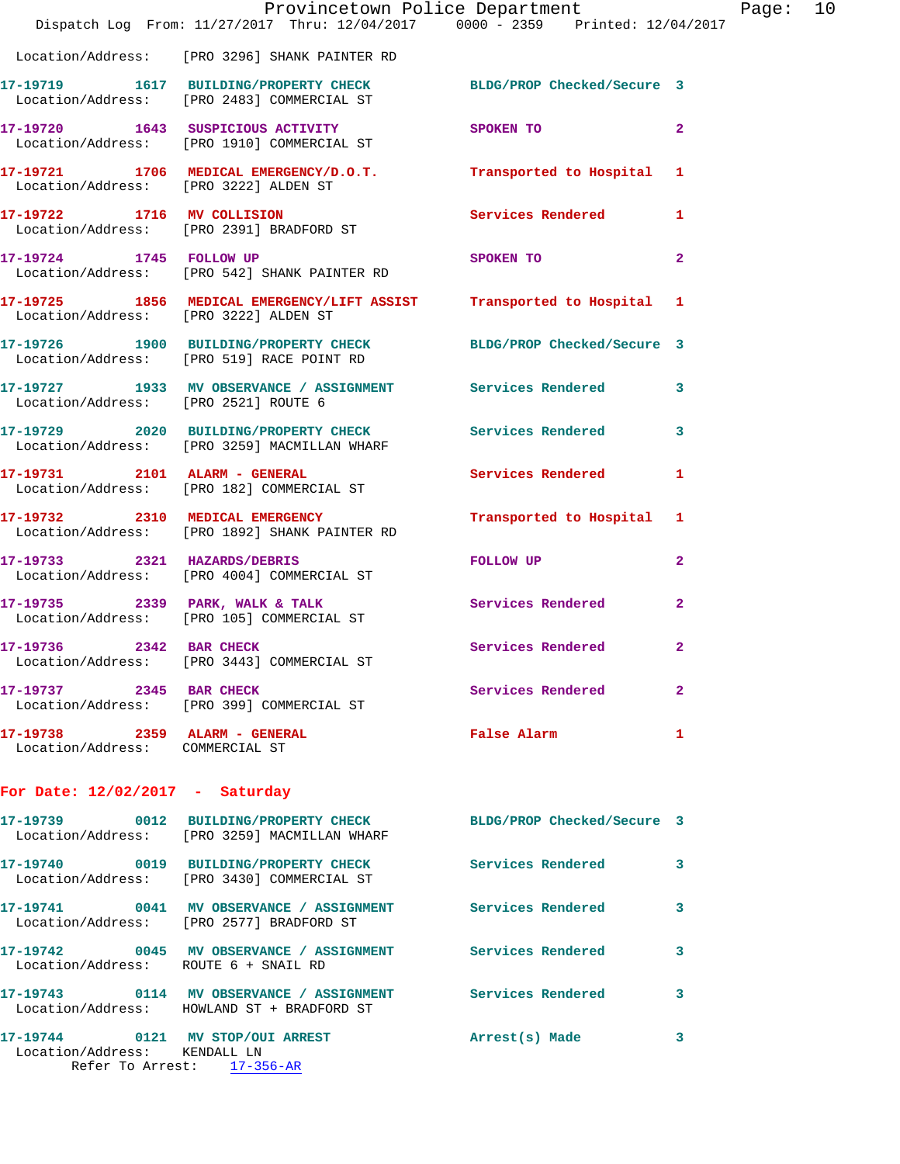|                                                                  | Provincetown Police Department<br>Dispatch Log From: 11/27/2017 Thru: 12/04/2017 0000 - 2359 Printed: 12/04/2017 |                            |                |
|------------------------------------------------------------------|------------------------------------------------------------------------------------------------------------------|----------------------------|----------------|
|                                                                  | Location/Address: [PRO 3296] SHANK PAINTER RD                                                                    |                            |                |
|                                                                  | 17-19719 1617 BUILDING/PROPERTY CHECK BLDG/PROP Checked/Secure 3<br>Location/Address: [PRO 2483] COMMERCIAL ST   |                            |                |
|                                                                  | 17-19720 1643 SUSPICIOUS ACTIVITY<br>Location/Address: [PRO 1910] COMMERCIAL ST                                  | SPOKEN TO                  | $\mathbf{2}$   |
| Location/Address: [PRO 3222] ALDEN ST                            | 17-19721 1706 MEDICAL EMERGENCY/D.O.T. Transported to Hospital                                                   |                            | 1              |
|                                                                  | 17-19722 1716 MV COLLISION<br>Location/Address: [PRO 2391] BRADFORD ST                                           | Services Rendered          | 1              |
| 17-19724 1745 FOLLOW UP                                          | Location/Address: [PRO 542] SHANK PAINTER RD                                                                     | SPOKEN TO                  | $\mathbf{2}$   |
| Location/Address: [PRO 3222] ALDEN ST                            | 17-19725 1856 MEDICAL EMERGENCY/LIFT ASSIST Transported to Hospital                                              |                            | 1              |
|                                                                  | 17-19726 1900 BUILDING/PROPERTY CHECK BLDG/PROP Checked/Secure 3<br>Location/Address: [PRO 519] RACE POINT RD    |                            |                |
| Location/Address: [PRO 2521] ROUTE 6                             | 17-19727 1933 MV OBSERVANCE / ASSIGNMENT Services Rendered                                                       |                            | 3              |
|                                                                  | 17-19729 2020 BUILDING/PROPERTY CHECK Services Rendered<br>Location/Address: [PRO 3259] MACMILLAN WHARF          |                            | 3              |
| 17-19731 2101 ALARM - GENERAL                                    | Location/Address: [PRO 182] COMMERCIAL ST                                                                        | Services Rendered          | 1              |
|                                                                  | 17-19732 2310 MEDICAL EMERGENCY<br>Location/Address: [PRO 1892] SHANK PAINTER RD                                 | Transported to Hospital    | 1              |
| 17-19733 2321 HAZARDS/DEBRIS                                     | Location/Address: [PRO 4004] COMMERCIAL ST                                                                       | FOLLOW UP                  | $\mathbf{2}$   |
|                                                                  | 17-19735 2339 PARK, WALK & TALK<br>Location/Address: [PRO 105] COMMERCIAL ST                                     | Services Rendered          | $\overline{2}$ |
| 17-19736 2342 BAR CHECK                                          | Location/Address: [PRO 3443] COMMERCIAL ST                                                                       | Services Rendered          | $\mathbf{2}$   |
| 17-19737 2345 BAR CHECK                                          | Location/Address: [PRO 399] COMMERCIAL ST                                                                        | Services Rendered          | 2              |
| 17-19738 2359 ALARM - GENERAL<br>Location/Address: COMMERCIAL ST |                                                                                                                  | False Alarm                | 1              |
| For Date: $12/02/2017$ - Saturday                                |                                                                                                                  |                            |                |
|                                                                  | 17-19739 0012 BUILDING/PROPERTY CHECK<br>Location/Address: [PRO 3259] MACMILLAN WHARF                            | BLDG/PROP Checked/Secure 3 |                |
|                                                                  | 17-19740 0019 BUILDING/PROPERTY CHECK<br>Location/Address: [PRO 3430] COMMERCIAL ST                              | <b>Services Rendered</b>   | 3              |
|                                                                  | 17-19741 0041 MV OBSERVANCE / ASSIGNMENT Services Rendered<br>Location/Address: [PRO 2577] BRADFORD ST           |                            | 3              |
| Location/Address: ROUTE 6 + SNAIL RD                             | 17-19742 0045 MV OBSERVANCE / ASSIGNMENT Services Rendered                                                       |                            | 3              |
|                                                                  | 17-19743 0114 MV OBSERVANCE / ASSIGNMENT Services Rendered<br>Location/Address: HOWLAND ST + BRADFORD ST         |                            | 3              |
| Location/Address: KENDALL LN                                     | 17-19744 0121 MV STOP/OUI ARREST<br>Refer To Arrest: 17-356-AR                                                   | Arrest(s) Made             | з              |
|                                                                  |                                                                                                                  |                            |                |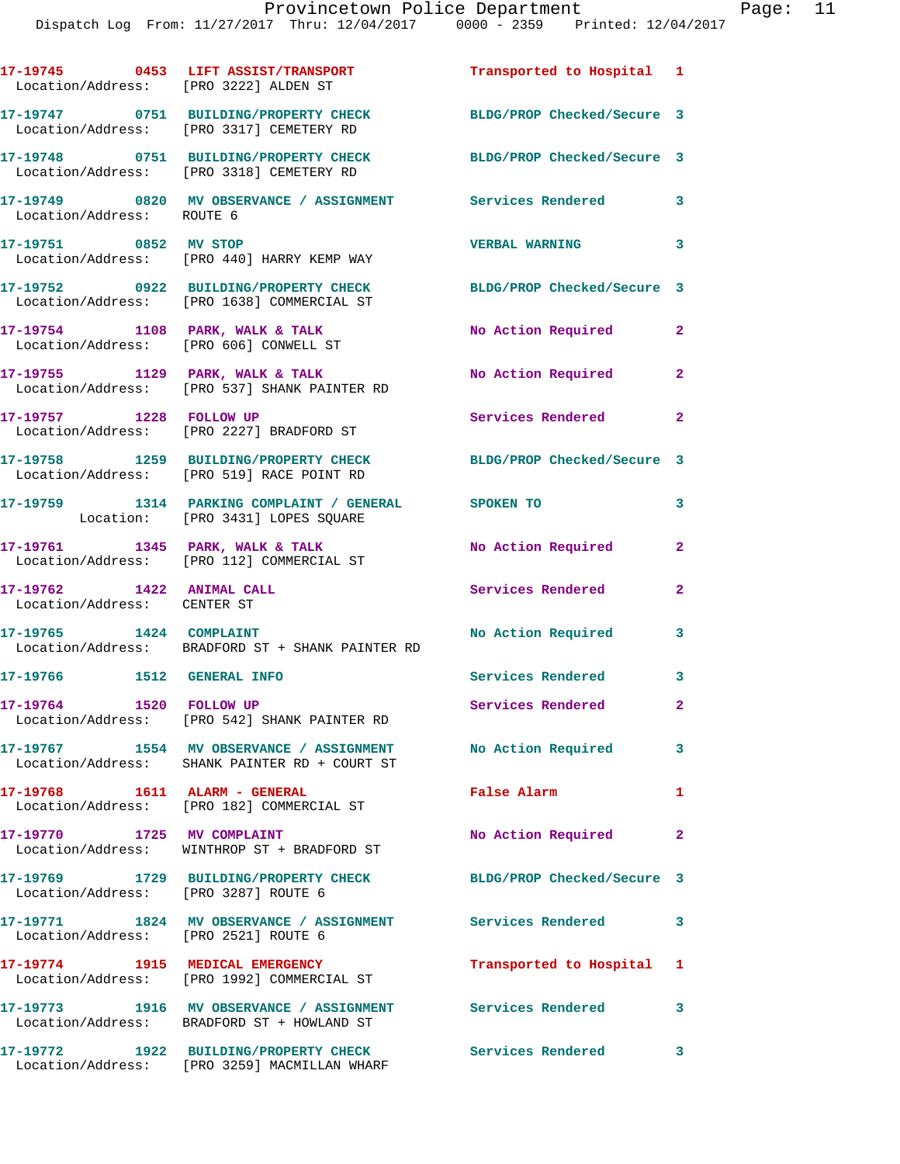| Location/Address: [PRO 3222] ALDEN ST                    | 17-19745 0453 LIFT ASSIST/TRANSPORT                                                                          | Transported to Hospital 1  |                            |
|----------------------------------------------------------|--------------------------------------------------------------------------------------------------------------|----------------------------|----------------------------|
|                                                          | 17-19747 0751 BUILDING/PROPERTY CHECK<br>Location/Address: [PRO 3317] CEMETERY RD                            | BLDG/PROP Checked/Secure 3 |                            |
|                                                          | 17-19748 0751 BUILDING/PROPERTY CHECK<br>Location/Address: [PRO 3318] CEMETERY RD                            | BLDG/PROP Checked/Secure 3 |                            |
| Location/Address: ROUTE 6                                | 17-19749 0820 MV OBSERVANCE / ASSIGNMENT Services Rendered 3                                                 |                            |                            |
| 17-19751 0852 MV STOP                                    | Location/Address: [PRO 440] HARRY KEMP WAY                                                                   | <b>VERBAL WARNING</b>      | $\overline{\phantom{a}}$ 3 |
|                                                          | 17-19752 0922 BUILDING/PROPERTY CHECK<br>Location/Address: [PRO 1638] COMMERCIAL ST                          | BLDG/PROP Checked/Secure 3 |                            |
|                                                          | 17-19754 1108 PARK, WALK & TALK<br>Location/Address: [PRO 606] CONWELL ST                                    | No Action Required         | $\mathbf{2}$               |
|                                                          | 17-19755 1129 PARK, WALK & TALK<br>Location/Address: [PRO 537] SHANK PAINTER RD                              | No Action Required         | $\mathbf{2}$               |
| 17-19757 1228 FOLLOW UP                                  | Location/Address: [PRO 2227] BRADFORD ST                                                                     | Services Rendered          | $\mathbf{2}$               |
|                                                          | 17-19758 1259 BUILDING/PROPERTY CHECK<br>Location/Address: [PRO 519] RACE POINT RD                           | BLDG/PROP Checked/Secure 3 |                            |
|                                                          | 17-19759 1314 PARKING COMPLAINT / GENERAL SPOKEN TO<br>Location: [PRO 3431] LOPES SQUARE                     |                            | 3                          |
|                                                          | 17-19761 1345 PARK, WALK & TALK<br>Location/Address: [PRO 112] COMMERCIAL ST                                 | No Action Required         | $\mathbf{2}$               |
| 17-19762 1422 ANIMAL CALL<br>Location/Address: CENTER ST |                                                                                                              | Services Rendered          | $\mathbf{2}$               |
| 17-19765 1424 COMPLAINT                                  | Location/Address: BRADFORD ST + SHANK PAINTER RD                                                             | No Action Required         | 3                          |
| 17-19766 1512 GENERAL INFO                               |                                                                                                              | Services Rendered 3        |                            |
| 1520 FOLLOW UP<br>17-19764                               | Location/Address: [PRO 542] SHANK PAINTER RD                                                                 | Services Rendered          | $\mathbf{2}$               |
|                                                          | 17-19767 1554 MV OBSERVANCE / ASSIGNMENT No Action Required<br>Location/Address: SHANK PAINTER RD + COURT ST |                            | $\mathbf{3}$               |
|                                                          | Location/Address: [PRO 182] COMMERCIAL ST                                                                    | False Alarm                | 1                          |
| 17-19770 1725 MV COMPLAINT                               | Location/Address: WINTHROP ST + BRADFORD ST                                                                  | No Action Required         | $\mathbf{2}$               |
| Location/Address: [PRO 3287] ROUTE 6                     | 17-19769 1729 BUILDING/PROPERTY CHECK BLDG/PROP Checked/Secure 3                                             |                            |                            |
| Location/Address: [PRO 2521] ROUTE 6                     | 17-19771 1824 MV OBSERVANCE / ASSIGNMENT Services Rendered                                                   |                            | $\mathbf{3}$               |
|                                                          | 17-19774 1915 MEDICAL EMERGENCY<br>Location/Address: [PRO 1992] COMMERCIAL ST                                | Transported to Hospital 1  |                            |
|                                                          | 17-19773 1916 MV OBSERVANCE / ASSIGNMENT Services Rendered<br>Location/Address: BRADFORD ST + HOWLAND ST     |                            | $\mathbf{3}$               |
|                                                          | 17-19772 1922 BUILDING/PROPERTY CHECK                                                                        | Services Rendered          | $\overline{\mathbf{3}}$    |

Location/Address: [PRO 3259] MACMILLAN WHARF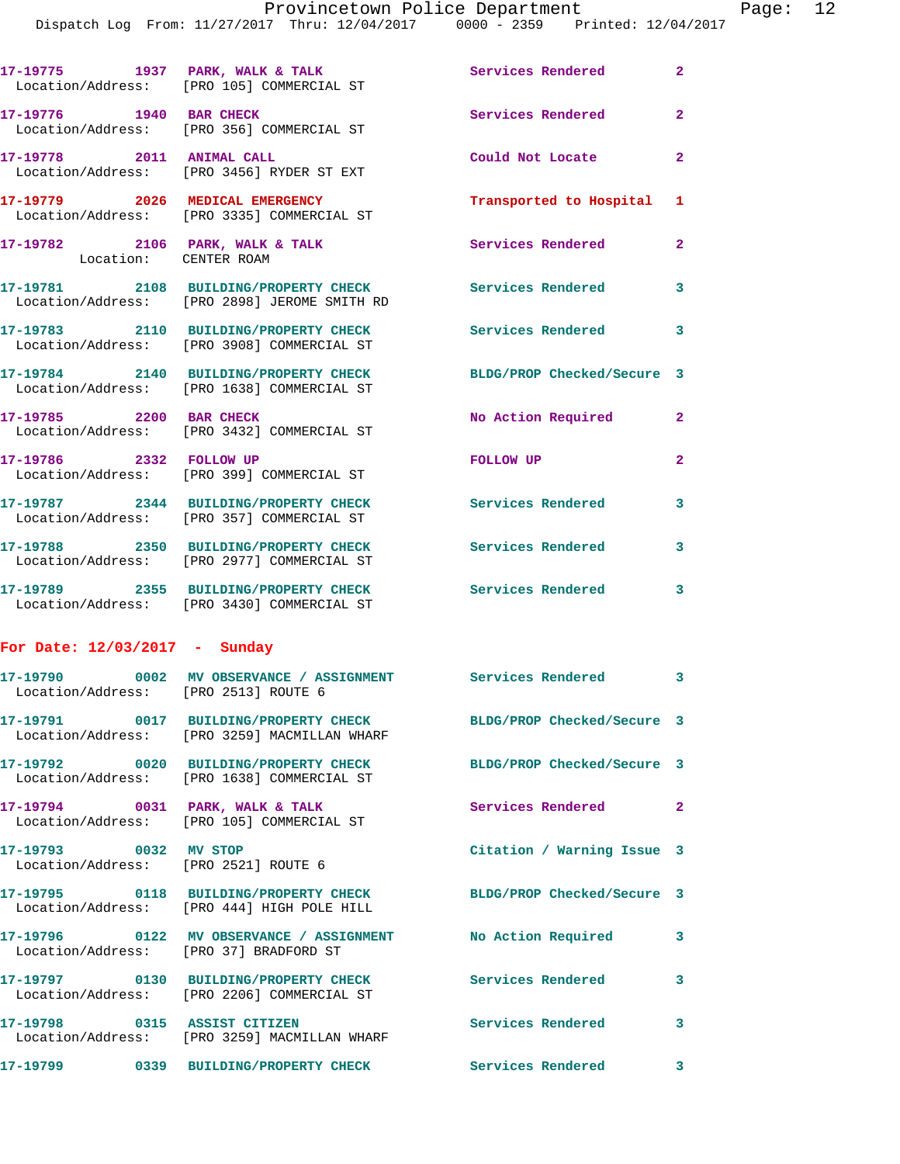|                                      | Dispatch Log From: 11/27/2017 Thru: 12/04/2017 0000 - 2359 Printed: 12/04/2017                                   |                            |                |
|--------------------------------------|------------------------------------------------------------------------------------------------------------------|----------------------------|----------------|
|                                      | 17-19775 1937 PARK, WALK & TALK<br>Location/Address: [PRO 105] COMMERCIAL ST                                     | <b>Services Rendered</b>   | $\overline{2}$ |
|                                      | 17-19776 1940 BAR CHECK<br>Location/Address: [PRO 356] COMMERCIAL ST                                             | Services Rendered          | $\overline{2}$ |
| 17-19778 2011 ANIMAL CALL            | Location/Address: [PRO 3456] RYDER ST EXT                                                                        | Could Not Locate           | $\overline{a}$ |
|                                      | 17-19779 2026 MEDICAL EMERGENCY<br>Location/Address: [PRO 3335] COMMERCIAL ST                                    | Transported to Hospital    | 1              |
| Location: CENTER ROAM                | 17-19782 2106 PARK, WALK & TALK                                                                                  | Services Rendered          | $\overline{a}$ |
|                                      | 17-19781 2108 BUILDING/PROPERTY CHECK Services Rendered<br>Location/Address: [PRO 2898] JEROME SMITH RD          |                            | 3              |
|                                      | 17-19783 2110 BUILDING/PROPERTY CHECK Services Rendered<br>Location/Address: [PRO 3908] COMMERCIAL ST            |                            | 3              |
|                                      | 17-19784 2140 BUILDING/PROPERTY CHECK<br>Location/Address: [PRO 1638] COMMERCIAL ST                              | BLDG/PROP Checked/Secure 3 |                |
| 17-19785 2200 BAR CHECK              | Location/Address: [PRO 3432] COMMERCIAL ST                                                                       | No Action Required         | $\mathbf{2}$   |
| 17-19786 2332 FOLLOW UP              | Location/Address: [PRO 399] COMMERCIAL ST                                                                        | FOLLOW UP                  | $\overline{a}$ |
|                                      | 17-19787 2344 BUILDING/PROPERTY CHECK<br>Location/Address: [PRO 357] COMMERCIAL ST                               | Services Rendered          | 3              |
|                                      | 17-19788 2350 BUILDING/PROPERTY CHECK<br>Location/Address: [PRO 2977] COMMERCIAL ST                              | <b>Services Rendered</b>   | 3              |
|                                      | 17-19789 2355 BUILDING/PROPERTY CHECK Services Rendered<br>Location/Address: [PRO 3430] COMMERCIAL ST            |                            | 3              |
| For Date: 12/03/2017 - Sunday        |                                                                                                                  |                            |                |
| Location/Address: [PRO 2513] ROUTE 6 |                                                                                                                  |                            |                |
|                                      | 17-19791 0017 BUILDING/PROPERTY CHECK BLDG/PROP Checked/Secure 3<br>Location/Address: [PRO 3259] MACMILLAN WHARF |                            |                |
|                                      | 17-19792 0020 BUILDING/PROPERTY CHECK BLDG/PROP Checked/Secure 3<br>Location/Address: [PRO 1638] COMMERCIAL ST   |                            |                |
|                                      | 17-19794 0031 PARK, WALK & TALK<br>Location/Address: [PRO 105] COMMERCIAL ST                                     | Services Rendered          | $\mathbf{2}$   |
| 17-19793 0032 MV STOP                | Location/Address: [PRO 2521] ROUTE 6                                                                             | Citation / Warning Issue 3 |                |
|                                      | 17-19795 0118 BUILDING/PROPERTY CHECK BLDG/PROP Checked/Secure 3<br>Location/Address: [PRO 444] HIGH POLE HILL   |                            |                |
|                                      | 17-19796 0122 MV OBSERVANCE / ASSIGNMENT No Action Required<br>Location/Address: [PRO 37] BRADFORD ST            |                            | 3              |
|                                      | 17-19797 0130 BUILDING/PROPERTY CHECK<br>Location/Address: [PRO 2206] COMMERCIAL ST                              | Services Rendered          | 3              |
|                                      | 17-19798 0315 ASSIST CITIZEN<br>Location/Address: [PRO 3259] MACMILLAN WHARF                                     | <b>Services Rendered</b>   | 3              |
|                                      | 17-19799 0339 BUILDING/PROPERTY CHECK Services Rendered                                                          |                            | $\mathbf{3}$   |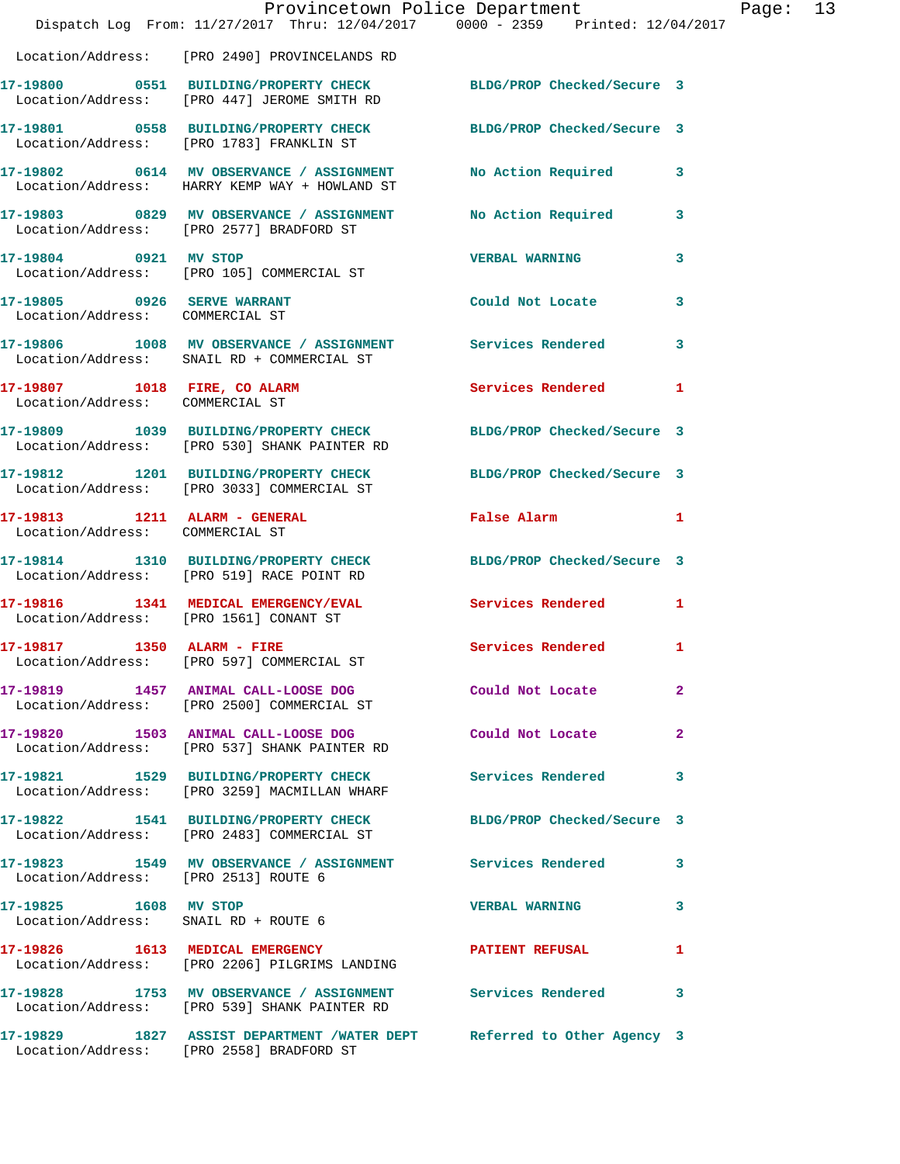|                                                                  | Provincetown Police Department<br>Dispatch Log From: 11/27/2017 Thru: 12/04/2017 0000 - 2359 Printed: 12/04/2017   |                            |                |
|------------------------------------------------------------------|--------------------------------------------------------------------------------------------------------------------|----------------------------|----------------|
|                                                                  | Location/Address: [PRO 2490] PROVINCELANDS RD                                                                      |                            |                |
|                                                                  | 17-19800 0551 BUILDING/PROPERTY CHECK<br>Location/Address: [PRO 447] JEROME SMITH RD                               | BLDG/PROP Checked/Secure 3 |                |
|                                                                  | 17-19801 0558 BUILDING/PROPERTY CHECK<br>Location/Address: [PRO 1783] FRANKLIN ST                                  | BLDG/PROP Checked/Secure 3 |                |
|                                                                  | 17-19802 0614 MV OBSERVANCE / ASSIGNMENT<br>Location/Address: HARRY KEMP WAY + HOWLAND ST                          | No Action Required         | 3              |
|                                                                  | 17-19803 0829 MV OBSERVANCE / ASSIGNMENT<br>Location/Address: [PRO 2577] BRADFORD ST                               | No Action Required         | 3              |
| 17-19804 0921 MV STOP                                            | Location/Address: [PRO 105] COMMERCIAL ST                                                                          | <b>VERBAL WARNING</b>      | 3              |
| 17-19805 0926 SERVE WARRANT<br>Location/Address: COMMERCIAL ST   |                                                                                                                    | Could Not Locate           | 3              |
|                                                                  | 17-19806 1008 MV OBSERVANCE / ASSIGNMENT Services Rendered<br>Location/Address: SNAIL RD + COMMERCIAL ST           |                            | 3              |
| Location/Address: COMMERCIAL ST                                  | 17-19807 1018 FIRE, CO ALARM                                                                                       | <b>Services Rendered</b>   | 1              |
|                                                                  | 17-19809 1039 BUILDING/PROPERTY CHECK<br>Location/Address: [PRO 530] SHANK PAINTER RD                              | BLDG/PROP Checked/Secure 3 |                |
|                                                                  | 17-19812 1201 BUILDING/PROPERTY CHECK<br>Location/Address: [PRO 3033] COMMERCIAL ST                                | BLDG/PROP Checked/Secure 3 |                |
| 17-19813 1211 ALARM - GENERAL<br>Location/Address: COMMERCIAL ST |                                                                                                                    | False Alarm                | 1              |
|                                                                  | 17-19814 1310 BUILDING/PROPERTY CHECK<br>Location/Address: [PRO 519] RACE POINT RD                                 | BLDG/PROP Checked/Secure 3 |                |
| Location/Address: [PRO 1561] CONANT ST                           | 17-19816 1341 MEDICAL EMERGENCY/EVAL                                                                               | Services Rendered          | 1              |
| 17-19817 1350 ALARM - FIRE                                       | Location/Address: [PRO 597] COMMERCIAL ST                                                                          | Services Rendered 1        |                |
|                                                                  | 17-19819 1457 ANIMAL CALL-LOOSE DOG Could Not Locate<br>Location/Address: [PRO 2500] COMMERCIAL ST                 |                            | $\overline{2}$ |
|                                                                  | 17-19820 1503 ANIMAL CALL-LOOSE DOG Could Not Locate<br>Location/Address: [PRO 537] SHANK PAINTER RD               |                            | $\mathbf{2}$   |
|                                                                  | 17-19821 1529 BUILDING/PROPERTY CHECK Services Rendered<br>Location/Address: [PRO 3259] MACMILLAN WHARF            |                            | 3              |
|                                                                  | 17-19822 1541 BUILDING/PROPERTY CHECK<br>Location/Address: [PRO 2483] COMMERCIAL ST                                | BLDG/PROP Checked/Secure 3 |                |
| Location/Address: [PRO 2513] ROUTE 6                             | 17-19823 1549 MV OBSERVANCE / ASSIGNMENT Services Rendered                                                         |                            | 3              |
| 17-19825    1608 MV STOP                                         | Location/Address: SNAIL RD + ROUTE 6                                                                               | <b>VERBAL WARNING</b>      | 3              |
|                                                                  | 17-19826 1613 MEDICAL EMERGENCY<br>Location/Address: [PRO 2206] PILGRIMS LANDING                                   | <b>PATIENT REFUSAL</b>     | 1              |
|                                                                  | 17-19828 1753 MV OBSERVANCE / ASSIGNMENT Services Rendered<br>Location/Address: [PRO 539] SHANK PAINTER RD         |                            | 3              |
|                                                                  | 17-19829 1827 ASSIST DEPARTMENT /WATER DEPT Referred to Other Agency 3<br>Location/Address: [PRO 2558] BRADFORD ST |                            |                |